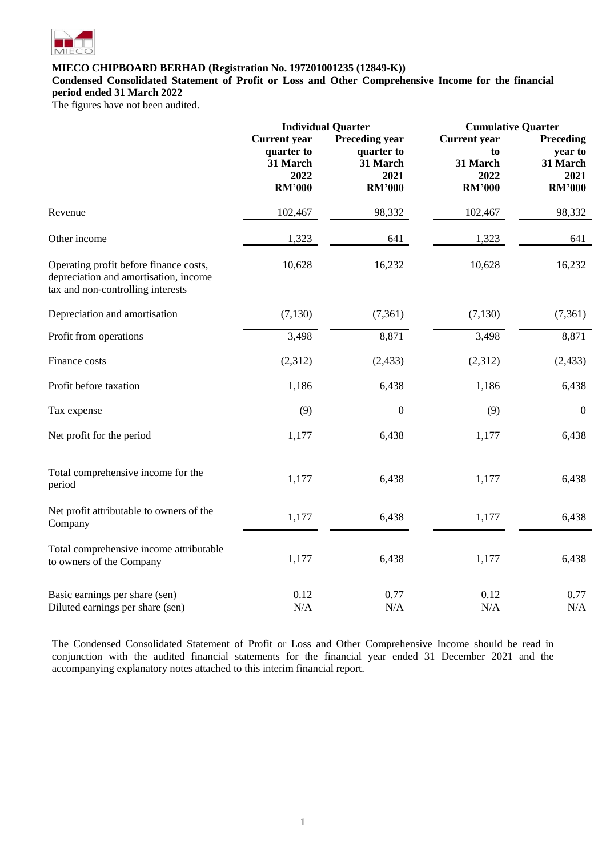

**Condensed Consolidated Statement of Profit or Loss and Other Comprehensive Income for the financial period ended 31 March 2022**

The figures have not been audited.

|                                                                                                                      | <b>Individual Quarter</b>                                              |                                                                          | <b>Cumulative Quarter</b>                                      |                                                           |  |
|----------------------------------------------------------------------------------------------------------------------|------------------------------------------------------------------------|--------------------------------------------------------------------------|----------------------------------------------------------------|-----------------------------------------------------------|--|
|                                                                                                                      | <b>Current</b> year<br>quarter to<br>31 March<br>2022<br><b>RM'000</b> | <b>Preceding year</b><br>quarter to<br>31 March<br>2021<br><b>RM'000</b> | <b>Current</b> year<br>to<br>31 March<br>2022<br><b>RM'000</b> | Preceding<br>year to<br>31 March<br>2021<br><b>RM'000</b> |  |
| Revenue                                                                                                              | 102,467                                                                | 98,332                                                                   | 102,467                                                        | 98,332                                                    |  |
| Other income                                                                                                         | 1,323                                                                  | 641                                                                      | 1,323                                                          | 641                                                       |  |
| Operating profit before finance costs,<br>depreciation and amortisation, income<br>tax and non-controlling interests | 10,628                                                                 | 16,232                                                                   | 10,628                                                         | 16,232                                                    |  |
| Depreciation and amortisation                                                                                        | (7, 130)                                                               | (7, 361)                                                                 | (7, 130)                                                       | (7,361)                                                   |  |
| Profit from operations                                                                                               | 3,498                                                                  | 8,871                                                                    | 3,498                                                          | 8,871                                                     |  |
| Finance costs                                                                                                        | (2,312)                                                                | (2, 433)                                                                 | (2,312)                                                        | (2, 433)                                                  |  |
| Profit before taxation                                                                                               | 1,186                                                                  | 6,438                                                                    | 1,186                                                          | 6,438                                                     |  |
| Tax expense                                                                                                          | (9)                                                                    | $\boldsymbol{0}$                                                         | (9)                                                            | $\boldsymbol{0}$                                          |  |
| Net profit for the period                                                                                            | 1,177                                                                  | 6,438                                                                    | 1,177                                                          | 6,438                                                     |  |
| Total comprehensive income for the<br>period                                                                         | 1,177                                                                  | 6,438                                                                    | 1,177                                                          | 6,438                                                     |  |
| Net profit attributable to owners of the<br>Company                                                                  | 1,177                                                                  | 6,438                                                                    | 1,177                                                          | 6,438                                                     |  |
| Total comprehensive income attributable<br>to owners of the Company                                                  | 1,177                                                                  | 6,438                                                                    | 1,177                                                          | 6,438                                                     |  |
| Basic earnings per share (sen)<br>Diluted earnings per share (sen)                                                   | 0.12<br>N/A                                                            | 0.77<br>N/A                                                              | 0.12<br>N/A                                                    | 0.77<br>$\rm N/A$                                         |  |

The Condensed Consolidated Statement of Profit or Loss and Other Comprehensive Income should be read in conjunction with the audited financial statements for the financial year ended 31 December 2021 and the accompanying explanatory notes attached to this interim financial report.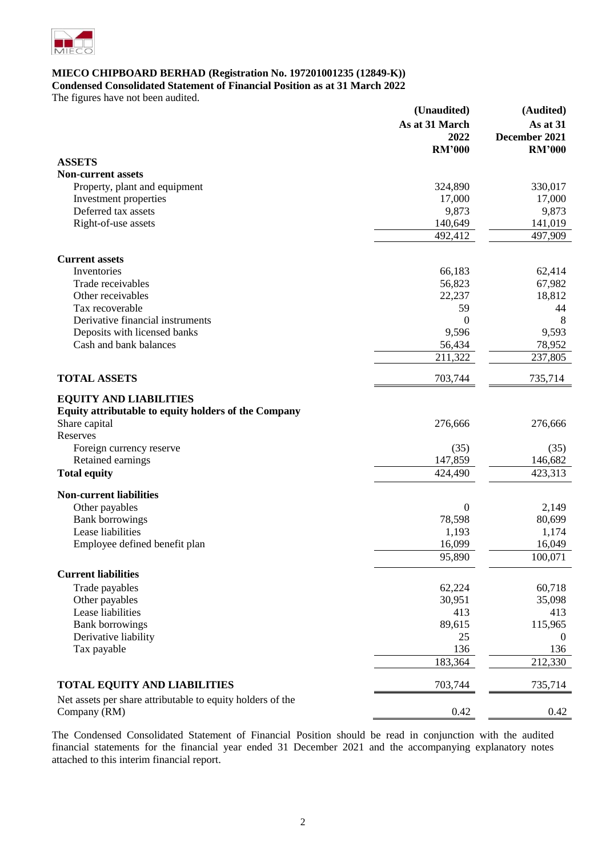

**Condensed Consolidated Statement of Financial Position as at 31 March 2022**

The figures have not been audited.

|                                                            | (Unaudited)      | (Audited)        |
|------------------------------------------------------------|------------------|------------------|
|                                                            | As at 31 March   | As at 31         |
|                                                            | 2022             | December 2021    |
|                                                            | <b>RM'000</b>    | <b>RM'000</b>    |
| <b>ASSETS</b>                                              |                  |                  |
| <b>Non-current assets</b>                                  |                  |                  |
| Property, plant and equipment                              | 324,890          | 330,017          |
| Investment properties                                      | 17,000           | 17,000           |
| Deferred tax assets                                        | 9,873            | 9,873            |
| Right-of-use assets                                        | 140,649          | 141,019          |
|                                                            | 492,412          | 497,909          |
|                                                            |                  |                  |
| <b>Current assets</b>                                      |                  |                  |
| Inventories                                                | 66,183           | 62,414           |
| Trade receivables                                          | 56,823           | 67,982           |
| Other receivables                                          | 22,237           | 18,812           |
| Tax recoverable                                            | 59               | 44               |
| Derivative financial instruments                           | $\Omega$         | 8                |
| Deposits with licensed banks                               | 9,596            | 9,593            |
| Cash and bank balances                                     | 56,434           | 78,952           |
|                                                            | 211,322          | 237,805          |
|                                                            |                  |                  |
| <b>TOTAL ASSETS</b>                                        | 703,744          | 735,714          |
| <b>EQUITY AND LIABILITIES</b>                              |                  |                  |
| Equity attributable to equity holders of the Company       |                  |                  |
| Share capital                                              | 276,666          | 276,666          |
| Reserves                                                   |                  |                  |
|                                                            |                  |                  |
| Foreign currency reserve                                   | (35)<br>147,859  | (35)             |
| Retained earnings                                          |                  | 146,682          |
| <b>Total equity</b>                                        | 424,490          | 423,313          |
| <b>Non-current liabilities</b>                             |                  |                  |
| Other payables                                             | $\boldsymbol{0}$ | 2,149            |
| <b>Bank borrowings</b>                                     | 78,598           | 80,699           |
| Lease liabilities                                          | 1,193            | 1,174            |
| Employee defined benefit plan                              | 16,099           | 16,049           |
|                                                            | 95,890           | 100,071          |
|                                                            |                  |                  |
| <b>Current liabilities</b>                                 |                  |                  |
| Trade payables                                             | 62,224           | 60,718           |
| Other payables                                             | 30,951           | 35,098           |
| Lease liabilities                                          | 413              | 413              |
| <b>Bank borrowings</b>                                     | 89,615           | 115,965          |
| Derivative liability                                       | 25               | $\boldsymbol{0}$ |
| Tax payable                                                | 136              | 136              |
|                                                            | 183,364          | 212,330          |
| TOTAL EQUITY AND LIABILITIES                               | 703,744          | 735,714          |
| Net assets per share attributable to equity holders of the |                  |                  |
| Company (RM)                                               | 0.42             | 0.42             |
|                                                            |                  |                  |

The Condensed Consolidated Statement of Financial Position should be read in conjunction with the audited financial statements for the financial year ended 31 December 2021 and the accompanying explanatory notes attached to this interim financial report.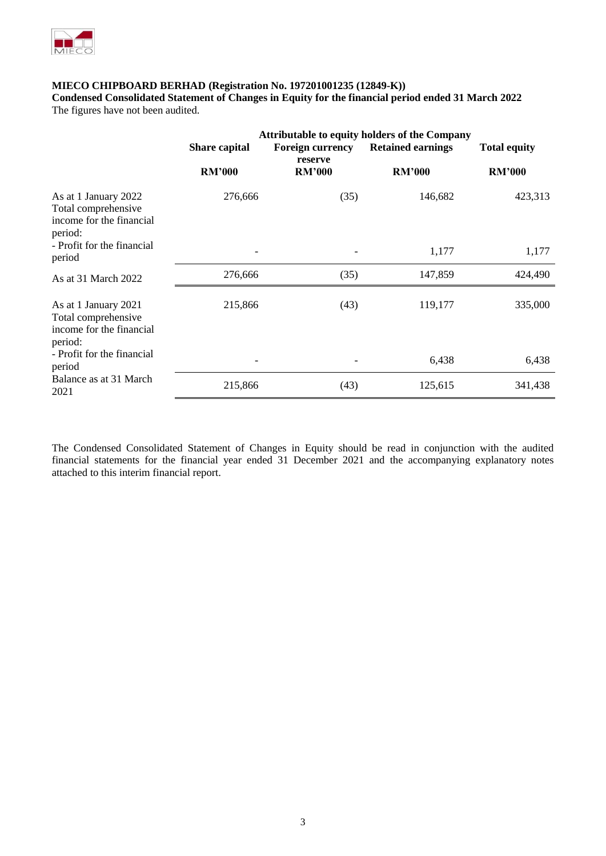

**Condensed Consolidated Statement of Changes in Equity for the financial period ended 31 March 2022** The figures have not been audited.

|                                                                                    | Share capital | <b>Attributable to equity holders of the Company</b><br><b>Total equity</b> |               |               |
|------------------------------------------------------------------------------------|---------------|-----------------------------------------------------------------------------|---------------|---------------|
|                                                                                    | <b>RM'000</b> | reserve<br><b>RM'000</b>                                                    | <b>RM'000</b> | <b>RM'000</b> |
| As at 1 January 2022<br>Total comprehensive<br>income for the financial<br>period: | 276,666       | (35)                                                                        | 146,682       | 423,313       |
| - Profit for the financial<br>period                                               |               |                                                                             | 1,177         | 1,177         |
| As at 31 March 2022                                                                | 276,666       | (35)                                                                        | 147,859       | 424,490       |
| As at 1 January 2021<br>Total comprehensive<br>income for the financial<br>period: | 215,866       | (43)                                                                        | 119,177       | 335,000       |
| - Profit for the financial<br>period                                               |               |                                                                             | 6,438         | 6,438         |
| Balance as at 31 March<br>2021                                                     | 215,866       | (43)                                                                        | 125,615       | 341,438       |

The Condensed Consolidated Statement of Changes in Equity should be read in conjunction with the audited financial statements for the financial year ended 31 December 2021 and the accompanying explanatory notes attached to this interim financial report.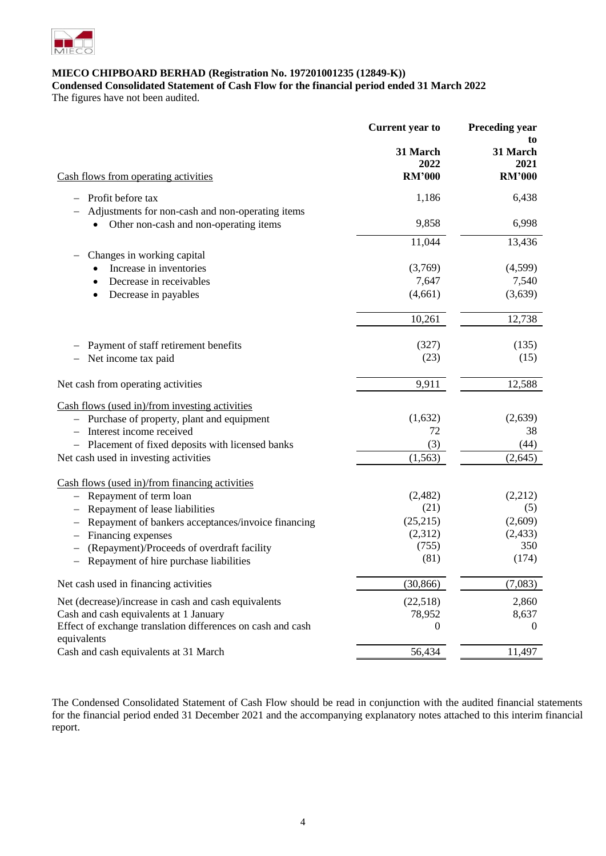

**Condensed Consolidated Statement of Cash Flow for the financial period ended 31 March 2022**

The figures have not been audited.

| 31 March<br>31 March<br>2022<br><b>RM'000</b><br><b>RM'000</b><br>Cash flows from operating activities<br>1,186<br>Profit before tax<br>Adjustments for non-cash and non-operating items<br>9,858<br>Other non-cash and non-operating items<br>11,044<br>Changes in working capital<br>(3,769)<br>Increase in inventories<br>Decrease in receivables<br>7,647<br>(3,639)<br>(4,661)<br>Decrease in payables<br>٠<br>10,261 | to           |
|----------------------------------------------------------------------------------------------------------------------------------------------------------------------------------------------------------------------------------------------------------------------------------------------------------------------------------------------------------------------------------------------------------------------------|--------------|
|                                                                                                                                                                                                                                                                                                                                                                                                                            | 2021         |
|                                                                                                                                                                                                                                                                                                                                                                                                                            |              |
|                                                                                                                                                                                                                                                                                                                                                                                                                            | 6,438        |
|                                                                                                                                                                                                                                                                                                                                                                                                                            |              |
|                                                                                                                                                                                                                                                                                                                                                                                                                            | 6,998        |
|                                                                                                                                                                                                                                                                                                                                                                                                                            | 13,436       |
|                                                                                                                                                                                                                                                                                                                                                                                                                            |              |
|                                                                                                                                                                                                                                                                                                                                                                                                                            | (4,599)      |
|                                                                                                                                                                                                                                                                                                                                                                                                                            | 7,540        |
|                                                                                                                                                                                                                                                                                                                                                                                                                            |              |
|                                                                                                                                                                                                                                                                                                                                                                                                                            | 12,738       |
| (327)<br>Payment of staff retirement benefits                                                                                                                                                                                                                                                                                                                                                                              | (135)        |
| (23)<br>Net income tax paid                                                                                                                                                                                                                                                                                                                                                                                                | (15)         |
| Net cash from operating activities<br>9,911                                                                                                                                                                                                                                                                                                                                                                                | 12,588       |
| Cash flows (used in)/from investing activities                                                                                                                                                                                                                                                                                                                                                                             |              |
| (1,632)<br>- Purchase of property, plant and equipment                                                                                                                                                                                                                                                                                                                                                                     | (2,639)      |
| 72<br>Interest income received                                                                                                                                                                                                                                                                                                                                                                                             | 38           |
| (3)<br>- Placement of fixed deposits with licensed banks                                                                                                                                                                                                                                                                                                                                                                   | (44)         |
| Net cash used in investing activities<br>(1, 563)                                                                                                                                                                                                                                                                                                                                                                          | (2,645)      |
| Cash flows (used in)/from financing activities                                                                                                                                                                                                                                                                                                                                                                             |              |
| (2,482)<br>Repayment of term loan                                                                                                                                                                                                                                                                                                                                                                                          | (2,212)      |
| (21)<br>Repayment of lease liabilities                                                                                                                                                                                                                                                                                                                                                                                     | (5)          |
| (25,215)<br>Repayment of bankers acceptances/invoice financing                                                                                                                                                                                                                                                                                                                                                             | (2,609)      |
| (2,312)<br>Financing expenses                                                                                                                                                                                                                                                                                                                                                                                              | (2, 433)     |
| (755)<br>(Repayment)/Proceeds of overdraft facility<br>(81)                                                                                                                                                                                                                                                                                                                                                                | 350<br>(174) |
| Repayment of hire purchase liabilities                                                                                                                                                                                                                                                                                                                                                                                     |              |
| Net cash used in financing activities<br>(30, 866)                                                                                                                                                                                                                                                                                                                                                                         | (7,083)      |
| Net (decrease)/increase in cash and cash equivalents<br>(22,518)                                                                                                                                                                                                                                                                                                                                                           | 2,860        |
| Cash and cash equivalents at 1 January<br>78,952                                                                                                                                                                                                                                                                                                                                                                           | 8,637        |
| Effect of exchange translation differences on cash and cash<br>$\boldsymbol{0}$<br>equivalents                                                                                                                                                                                                                                                                                                                             | $\theta$     |
| Cash and cash equivalents at 31 March<br>56,434                                                                                                                                                                                                                                                                                                                                                                            | 11,497       |

The Condensed Consolidated Statement of Cash Flow should be read in conjunction with the audited financial statements for the financial period ended 31 December 2021 and the accompanying explanatory notes attached to this interim financial report.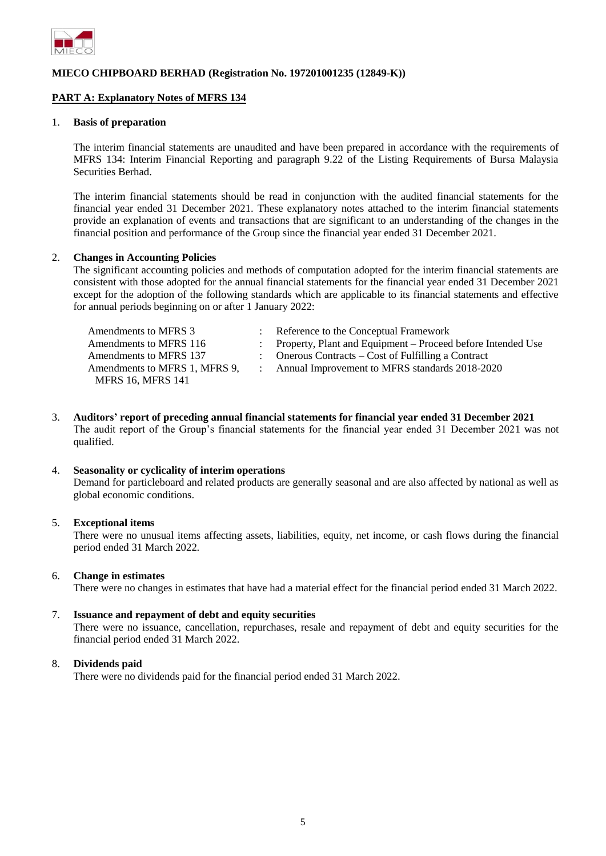

### **PART A: Explanatory Notes of MFRS 134**

#### 1. **Basis of preparation**

The interim financial statements are unaudited and have been prepared in accordance with the requirements of MFRS 134: Interim Financial Reporting and paragraph 9.22 of the Listing Requirements of Bursa Malaysia Securities Berhad.

The interim financial statements should be read in conjunction with the audited financial statements for the financial year ended 31 December 2021. These explanatory notes attached to the interim financial statements provide an explanation of events and transactions that are significant to an understanding of the changes in the financial position and performance of the Group since the financial year ended 31 December 2021.

#### 2. **Changes in Accounting Policies**

The significant accounting policies and methods of computation adopted for the interim financial statements are consistent with those adopted for the annual financial statements for the financial year ended 31 December 2021 except for the adoption of the following standards which are applicable to its financial statements and effective for annual periods beginning on or after 1 January 2022:

| Amendments to MFRS 3          | : Reference to the Conceptual Framework                        |
|-------------------------------|----------------------------------------------------------------|
| Amendments to MFRS 116        | : Property, Plant and Equipment – Proceed before Intended Use  |
| Amendments to MFRS 137        | $\therefore$ Onerous Contracts – Cost of Fulfilling a Contract |
| Amendments to MFRS 1. MFRS 9. | Annual Improvement to MFRS standards 2018-2020                 |
| <b>MFRS 16, MFRS 141</b>      |                                                                |

3. **Auditors' report of preceding annual financial statements for financial year ended 31 December 2021** The audit report of the Group's financial statements for the financial year ended 31 December 2021 was not qualified.

#### 4. **Seasonality or cyclicality of interim operations**

Demand for particleboard and related products are generally seasonal and are also affected by national as well as global economic conditions.

#### 5. **Exceptional items**

There were no unusual items affecting assets, liabilities, equity, net income, or cash flows during the financial period ended 31 March 2022.

#### 6. **Change in estimates**

There were no changes in estimates that have had a material effect for the financial period ended 31 March 2022.

#### 7. **Issuance and repayment of debt and equity securities**

There were no issuance, cancellation, repurchases, resale and repayment of debt and equity securities for the financial period ended 31 March 2022.

#### 8. **Dividends paid**

There were no dividends paid for the financial period ended 31 March 2022.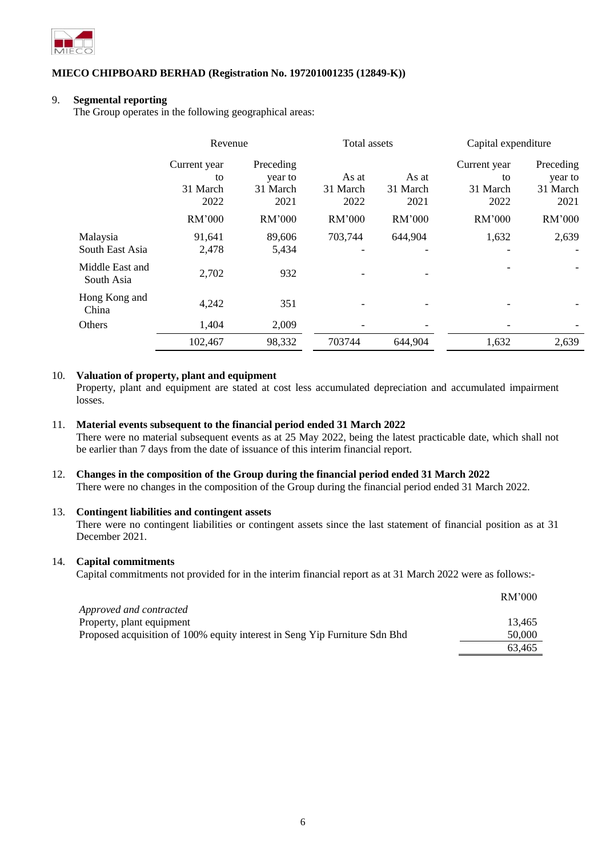

### 9. **Segmental reporting**

The Group operates in the following geographical areas:

|                               | Revenue      |           | <b>Total assets</b> |          | Capital expenditure |           |
|-------------------------------|--------------|-----------|---------------------|----------|---------------------|-----------|
|                               | Current year | Preceding |                     |          | Current year        | Preceding |
|                               | to           | year to   | As at               | As at    | to                  | year to   |
|                               | 31 March     | 31 March  | 31 March            | 31 March | 31 March            | 31 March  |
|                               | 2022         | 2021      | 2022                | 2021     | 2022                | 2021      |
|                               | RM'000       | RM'000    | RM'000              | RM'000   | RM'000              | RM'000    |
| Malaysia                      | 91,641       | 89,606    | 703,744             | 644,904  | 1,632               | 2,639     |
| South East Asia               | 2,478        | 5,434     |                     |          |                     |           |
| Middle East and<br>South Asia | 2,702        | 932       |                     |          |                     |           |
| Hong Kong and<br>China        | 4,242        | 351       |                     |          |                     |           |
| Others                        | 1,404        | 2,009     |                     |          |                     |           |
|                               | 102,467      | 98,332    | 703744              | 644,904  | 1,632               | 2,639     |

## 10. **Valuation of property, plant and equipment**

Property, plant and equipment are stated at cost less accumulated depreciation and accumulated impairment losses.

### 11. **Material events subsequent to the financial period ended 31 March 2022**

There were no material subsequent events as at 25 May 2022, being the latest practicable date, which shall not be earlier than 7 days from the date of issuance of this interim financial report.

# 12. **Changes in the composition of the Group during the financial period ended 31 March 2022**

There were no changes in the composition of the Group during the financial period ended 31 March 2022.

## 13. **Contingent liabilities and contingent assets**

There were no contingent liabilities or contingent assets since the last statement of financial position as at 31 December 2021.

### 14. **Capital commitments**

Capital commitments not provided for in the interim financial report as at 31 March 2022 were as follows:-

|                                                                            | RM'000 |
|----------------------------------------------------------------------------|--------|
| Approved and contracted                                                    |        |
| Property, plant equipment                                                  | 13.465 |
| Proposed acquisition of 100% equity interest in Seng Yip Furniture Sdn Bhd | 50,000 |
|                                                                            | 63.465 |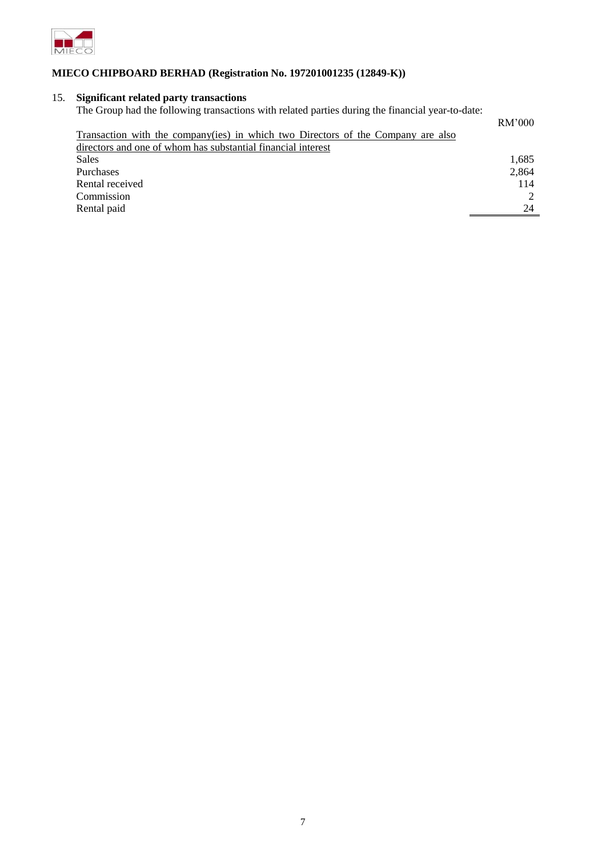

# 15. **Significant related party transactions**

| The Group had the following transactions with related parties during the financial year-to-date: |        |
|--------------------------------------------------------------------------------------------------|--------|
|                                                                                                  | RM'000 |
| Transaction with the company(ies) in which two Directors of the Company are also                 |        |
| directors and one of whom has substantial financial interest                                     |        |
| <b>Sales</b>                                                                                     | 1,685  |
| Purchases                                                                                        | 2,864  |
| Rental received                                                                                  | 114    |
| Commission                                                                                       |        |
| Rental paid                                                                                      | 24     |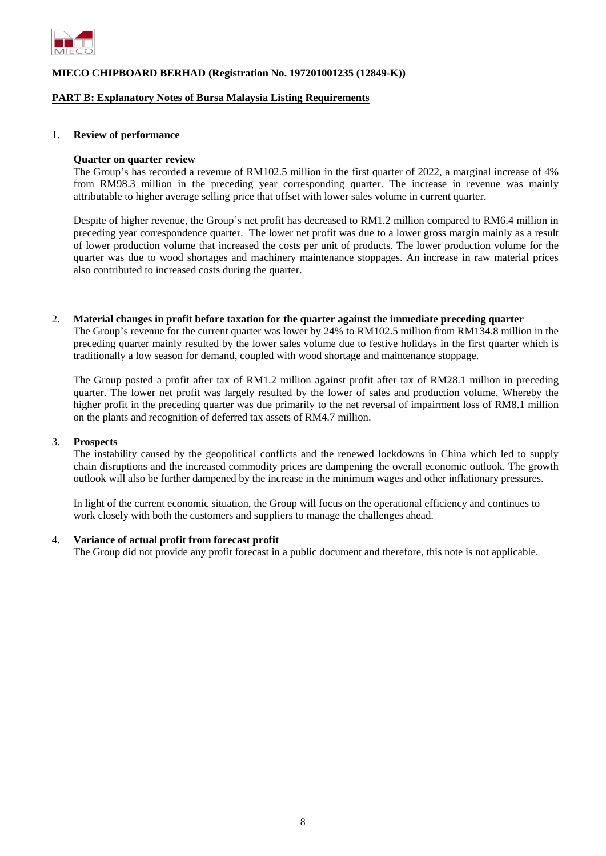

### **PART B: Explanatory Notes of Bursa Malaysia Listing Requirements**

#### 1. **Review of performance**

#### **Quarter on quarter review**

The Group's has recorded a revenue of RM102.5 million in the first quarter of 2022, a marginal increase of 4% from RM98.3 million in the preceding year corresponding quarter. The increase in revenue was mainly attributable to higher average selling price that offset with lower sales volume in current quarter.

Despite of higher revenue, the Group's net profit has decreased to RM1.2 million compared to RM6.4 million in preceding year correspondence quarter. The lower net profit was due to a lower gross margin mainly as a result of lower production volume that increased the costs per unit of products. The lower production volume for the quarter was due to wood shortages and machinery maintenance stoppages. An increase in raw material prices also contributed to increased costs during the quarter.

2. **Material changes in profit before taxation for the quarter against the immediate preceding quarter**

The Group's revenue for the current quarter was lower by 24% to RM102.5 million from RM134.8 million in the preceding quarter mainly resulted by the lower sales volume due to festive holidays in the first quarter which is traditionally a low season for demand, coupled with wood shortage and maintenance stoppage.

The Group posted a profit after tax of RM1.2 million against profit after tax of RM28.1 million in preceding quarter. The lower net profit was largely resulted by the lower of sales and production volume. Whereby the higher profit in the preceding quarter was due primarily to the net reversal of impairment loss of RM8.1 million on the plants and recognition of deferred tax assets of RM4.7 million.

#### 3. **Prospects**

The instability caused by the geopolitical conflicts and the renewed lockdowns in China which led to supply chain disruptions and the increased commodity prices are dampening the overall economic outlook. The growth outlook will also be further dampened by the increase in the minimum wages and other inflationary pressures.

In light of the current economic situation, the Group will focus on the operational efficiency and continues to work closely with both the customers and suppliers to manage the challenges ahead.

#### 4. **Variance of actual profit from forecast profit**

The Group did not provide any profit forecast in a public document and therefore, this note is not applicable.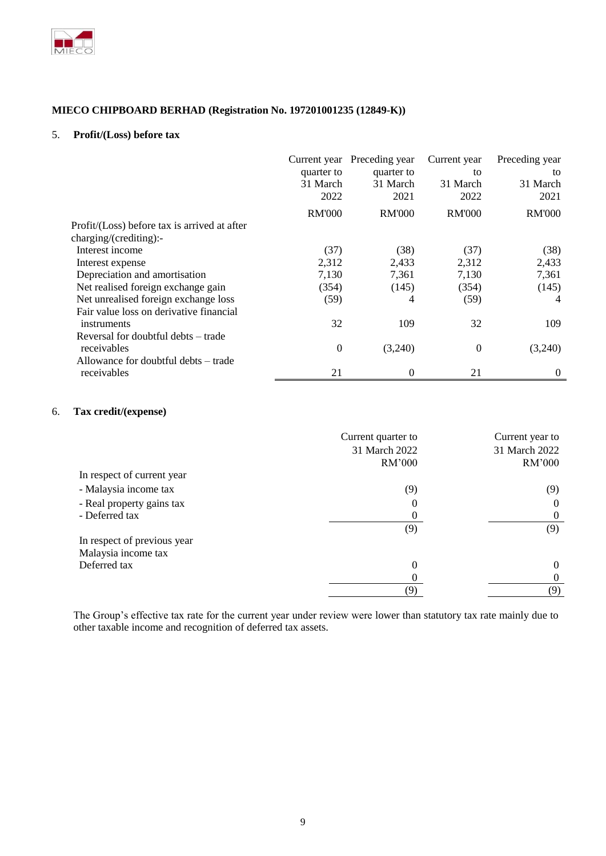

### 5. **Profit/(Loss) before tax**

|                                              |               | Current year Preceding year | Current year   | Preceding year |
|----------------------------------------------|---------------|-----------------------------|----------------|----------------|
|                                              | quarter to    | quarter to                  | to             | to             |
|                                              | 31 March      | 31 March                    | 31 March       | 31 March       |
|                                              | 2022          | 2021                        | 2022           | 2021           |
|                                              | <b>RM'000</b> | <b>RM'000</b>               | <b>RM'000</b>  | <b>RM'000</b>  |
| Profit/(Loss) before tax is arrived at after |               |                             |                |                |
| charging/(crediting):-                       |               |                             |                |                |
| Interest income                              | (37)          | (38)                        | (37)           | (38)           |
| Interest expense                             | 2,312         | 2,433                       | 2,312          | 2,433          |
| Depreciation and amortisation                | 7,130         | 7,361                       | 7,130          | 7,361          |
| Net realised foreign exchange gain           | (354)         | (145)                       | (354)          | (145)          |
| Net unrealised foreign exchange loss         | (59)          | 4                           | (59)           | 4              |
| Fair value loss on derivative financial      |               |                             |                |                |
| instruments                                  | 32            | 109                         | 32             | 109            |
| Reversal for doubtful debts – trade          |               |                             |                |                |
| receivables                                  | 0             | (3,240)                     | $\overline{0}$ | (3,240)        |
| Allowance for doubtful debts – trade         |               |                             |                |                |
| receivables                                  | 21            | 0                           | 21             | 0              |

# 6. **Tax credit/(expense)**

|                             | Current quarter to | Current year to |
|-----------------------------|--------------------|-----------------|
|                             | 31 March 2022      | 31 March 2022   |
|                             | RM'000             | RM'000          |
| In respect of current year  |                    |                 |
| - Malaysia income tax       | (9)                | (9)             |
| - Real property gains tax   | 0                  | $\Omega$        |
| - Deferred tax              | $\theta$           | $\Omega$        |
|                             | (9)                | (9)             |
| In respect of previous year |                    |                 |
| Malaysia income tax         |                    |                 |
| Deferred tax                | 0                  | $\theta$        |
|                             | 0                  | $\Omega$        |
|                             |                    | (9)             |

The Group's effective tax rate for the current year under review were lower than statutory tax rate mainly due to other taxable income and recognition of deferred tax assets.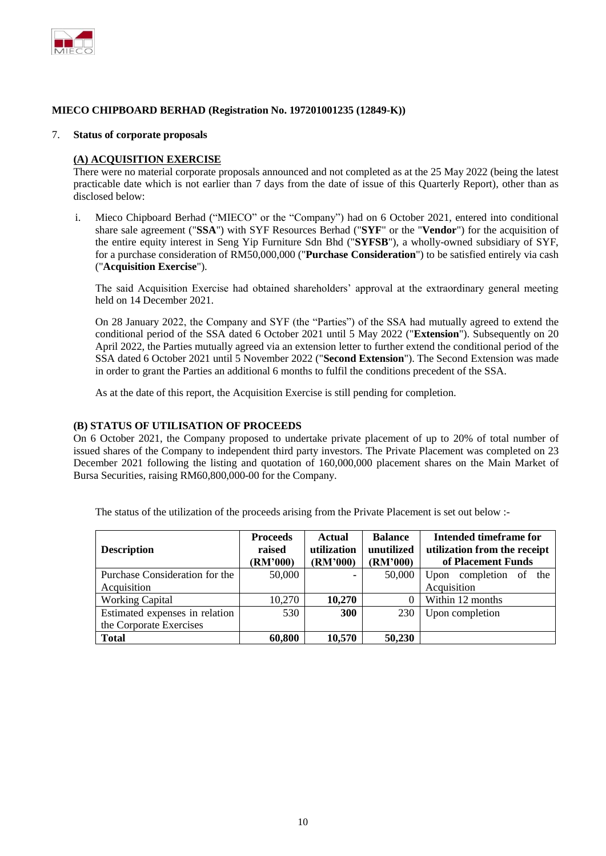

#### 7. **Status of corporate proposals**

### **(A) ACQUISITION EXERCISE**

There were no material corporate proposals announced and not completed as at the 25 May 2022 (being the latest practicable date which is not earlier than 7 days from the date of issue of this Quarterly Report), other than as disclosed below:

i. Mieco Chipboard Berhad ("MIECO" or the "Company") had on 6 October 2021, entered into conditional share sale agreement ("**SSA**") with SYF Resources Berhad ("**SYF**" or the "**Vendor**") for the acquisition of the entire equity interest in Seng Yip Furniture Sdn Bhd ("**SYFSB**"), a wholly-owned subsidiary of SYF, for a purchase consideration of RM50,000,000 ("**Purchase Consideration**") to be satisfied entirely via cash ("**Acquisition Exercise**").

The said Acquisition Exercise had obtained shareholders' approval at the extraordinary general meeting held on 14 December 2021.

On 28 January 2022, the Company and SYF (the "Parties") of the SSA had mutually agreed to extend the conditional period of the SSA dated 6 October 2021 until 5 May 2022 ("**Extension**"). Subsequently on 20 April 2022, the Parties mutually agreed via an extension letter to further extend the conditional period of the SSA dated 6 October 2021 until 5 November 2022 ("**Second Extension**"). The Second Extension was made in order to grant the Parties an additional 6 months to fulfil the conditions precedent of the SSA.

As at the date of this report, the Acquisition Exercise is still pending for completion.

### **(B) STATUS OF UTILISATION OF PROCEEDS**

On 6 October 2021, the Company proposed to undertake private placement of up to 20% of total number of issued shares of the Company to independent third party investors. The Private Placement was completed on 23 December 2021 following the listing and quotation of 160,000,000 placement shares on the Main Market of Bursa Securities, raising RM60,800,000-00 for the Company.

| <b>Description</b>             | <b>Proceeds</b><br>raised<br>(RM'000) | Actual<br>utilization<br>(RM'000) | <b>Balance</b><br>unutilized<br>(RM'000) | Intended timeframe for<br>utilization from the receipt<br>of Placement Funds |  |
|--------------------------------|---------------------------------------|-----------------------------------|------------------------------------------|------------------------------------------------------------------------------|--|
| Purchase Consideration for the | 50,000                                |                                   | 50,000                                   | completion of<br>the<br>Upon                                                 |  |
| Acquisition                    |                                       |                                   |                                          | Acquisition                                                                  |  |
| <b>Working Capital</b>         | 10,270                                | 10,270                            |                                          | Within 12 months                                                             |  |
| Estimated expenses in relation | 530                                   | <b>300</b>                        | 230                                      | Upon completion                                                              |  |
| the Corporate Exercises        |                                       |                                   |                                          |                                                                              |  |
| <b>Total</b>                   | 60,800                                | 10,570                            | 50,230                                   |                                                                              |  |

The status of the utilization of the proceeds arising from the Private Placement is set out below :-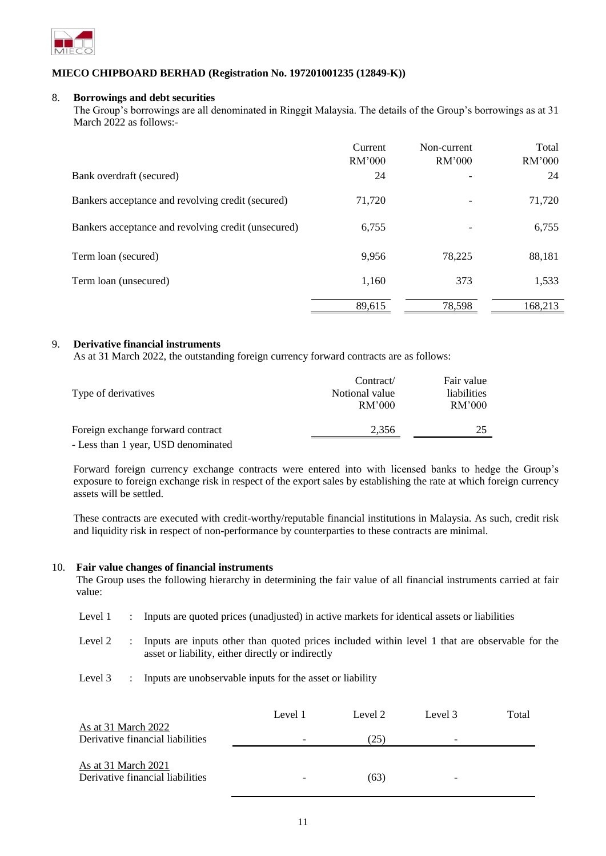

### 8. **Borrowings and debt securities**

The Group's borrowings are all denominated in Ringgit Malaysia. The details of the Group's borrowings as at 31 March 2022 as follows:-

|                                                     | Current<br>RM'000 | Non-current<br>RM'000 | Total<br>RM'000 |
|-----------------------------------------------------|-------------------|-----------------------|-----------------|
| Bank overdraft (secured)                            | 24                |                       | 24              |
| Bankers acceptance and revolving credit (secured)   | 71,720            |                       | 71,720          |
| Bankers acceptance and revolving credit (unsecured) | 6,755             |                       | 6,755           |
| Term loan (secured)                                 | 9,956             | 78,225                | 88,181          |
| Term loan (unsecured)                               | 1,160             | 373                   | 1,533           |
|                                                     | 89,615            | 78,598                | 168,213         |

# 9. **Derivative financial instruments**

As at 31 March 2022, the outstanding foreign currency forward contracts are as follows:

| Type of derivatives                 | Contract/<br>Notional value<br>RM'000 | Fair value<br>liabilities<br>RM'000 |  |
|-------------------------------------|---------------------------------------|-------------------------------------|--|
| Foreign exchange forward contract   | 2.356                                 | 25                                  |  |
| - Less than 1 year, USD denominated |                                       |                                     |  |

Forward foreign currency exchange contracts were entered into with licensed banks to hedge the Group's exposure to foreign exchange risk in respect of the export sales by establishing the rate at which foreign currency assets will be settled.

These contracts are executed with credit-worthy/reputable financial institutions in Malaysia. As such, credit risk and liquidity risk in respect of non-performance by counterparties to these contracts are minimal.

#### 10. **Fair value changes of financial instruments**

The Group uses the following hierarchy in determining the fair value of all financial instruments carried at fair value:

- Level 1 : Inputs are quoted prices (unadjusted) in active markets for identical assets or liabilities
- Level 2 : Inputs are inputs other than quoted prices included within level 1 that are observable for the asset or liability, either directly or indirectly
- Level 3 : Inputs are unobservable inputs for the asset or liability

| As at 31 March 2022              | Level 1 | Level 2 | Level 3 | Total |
|----------------------------------|---------|---------|---------|-------|
| Derivative financial liabilities |         | (25)    | -       |       |
| As at 31 March 2021              |         |         |         |       |
| Derivative financial liabilities |         | (63)    | -       |       |